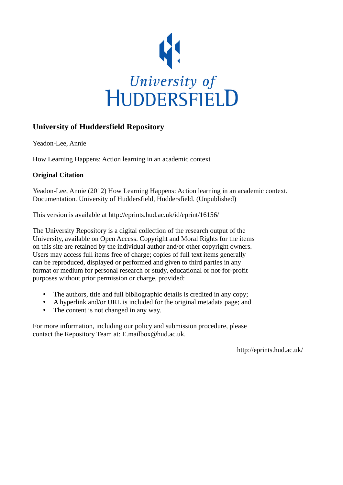

### **University of Huddersfield Repository**

Yeadon-Lee, Annie

How Learning Happens: Action learning in an academic context

#### **Original Citation**

Yeadon-Lee, Annie (2012) How Learning Happens: Action learning in an academic context. Documentation. University of Huddersfield, Huddersfield. (Unpublished)

This version is available at http://eprints.hud.ac.uk/id/eprint/16156/

The University Repository is a digital collection of the research output of the University, available on Open Access. Copyright and Moral Rights for the items on this site are retained by the individual author and/or other copyright owners. Users may access full items free of charge; copies of full text items generally can be reproduced, displayed or performed and given to third parties in any format or medium for personal research or study, educational or not-for-profit purposes without prior permission or charge, provided:

- The authors, title and full bibliographic details is credited in any copy;
- A hyperlink and/or URL is included for the original metadata page; and
- The content is not changed in any way.

For more information, including our policy and submission procedure, please contact the Repository Team at: E.mailbox@hud.ac.uk.

http://eprints.hud.ac.uk/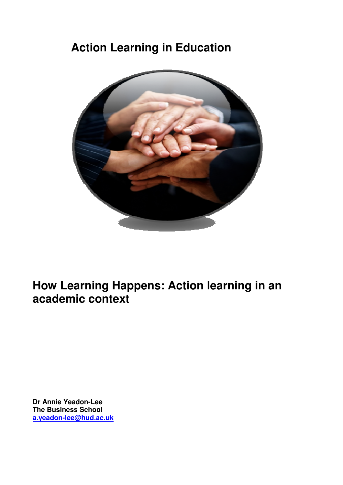# **Action Learning in Education**



**How Learning Happens: Action learning in an academic context** 

**Dr Annie Yeadon-Lee The Business School a.yeadon-lee@hud.ac.uk**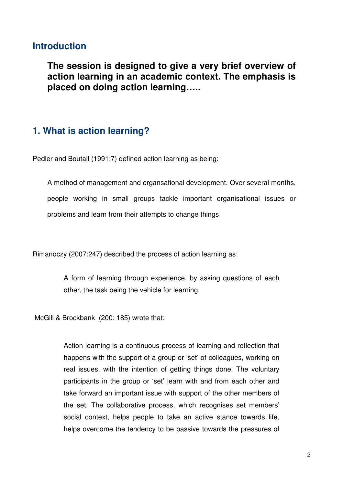### **Introduction**

**The session is designed to give a very brief overview of action learning in an academic context. The emphasis is placed on doing action learning…..** 

### **1. What is action learning?**

Pedler and Boutall (1991:7) defined action learning as being:

A method of management and organsational development. Over several months, people working in small groups tackle important organisational issues or problems and learn from their attempts to change things

Rimanoczy (2007:247) described the process of action learning as:

A form of learning through experience, by asking questions of each other, the task being the vehicle for learning.

McGill & Brockbank (200: 185) wrote that:

Action learning is a continuous process of learning and reflection that happens with the support of a group or 'set' of colleagues, working on real issues, with the intention of getting things done. The voluntary participants in the group or 'set' learn with and from each other and take forward an important issue with support of the other members of the set. The collaborative process, which recognises set members' social context, helps people to take an active stance towards life, helps overcome the tendency to be passive towards the pressures of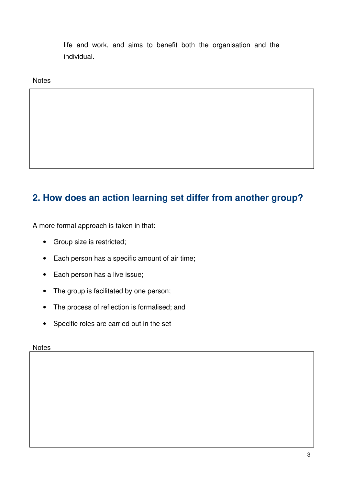life and work, and aims to benefit both the organisation and the individual.

**Notes** 

# **2. How does an action learning set differ from another group?**

A more formal approach is taken in that:

- Group size is restricted;
- Each person has a specific amount of air time;
- Each person has a live issue;
- The group is facilitated by one person;
- The process of reflection is formalised; and
- Specific roles are carried out in the set

**Notes**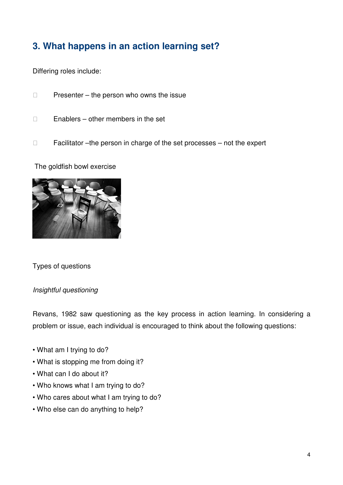# **3. What happens in an action learning set?**

Differing roles include:

Presenter – the person who owns the issue

Enablers – other members in the set

Facilitator –the person in charge of the set processes – not the expert

The goldfish bowl exercise



Types of questions

#### Insightful questioning

Revans, 1982 saw questioning as the key process in action learning. In considering a problem or issue, each individual is encouraged to think about the following questions:

- What am I trying to do?
- What is stopping me from doing it?
- What can I do about it?
- Who knows what I am trying to do?
- Who cares about what I am trying to do?
- Who else can do anything to help?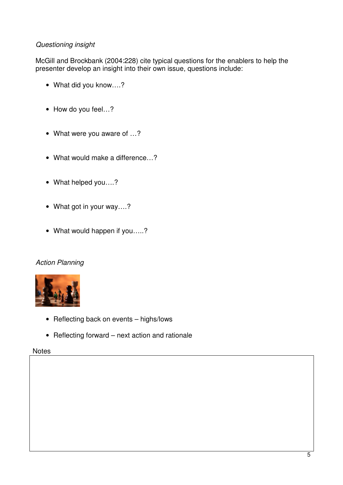#### Questioning insight

McGill and Brockbank (2004:228) cite typical questions for the enablers to help the presenter develop an insight into their own issue, questions include:

- What did you know….?
- How do you feel…?
- What were you aware of …?
- What would make a difference...?
- What helped you….?
- What got in your way….?
- What would happen if you.....?

#### Action Planning



- Reflecting back on events highs/lows
- Reflecting forward next action and rationale

#### **Notes**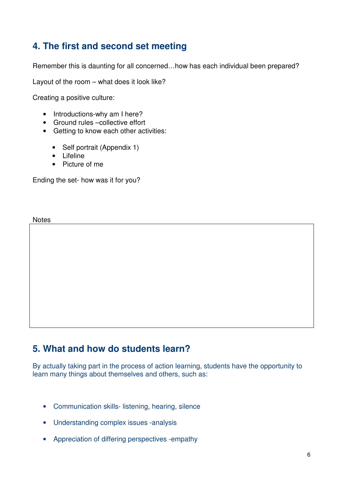### **4. The first and second set meeting**

Remember this is daunting for all concerned…how has each individual been prepared?

Layout of the room – what does it look like?

Creating a positive culture:

- Introductions-why am I here?
- Ground rules –collective effort
- Getting to know each other activities:
	- Self portrait (Appendix 1)
	- Lifeline
	- Picture of me

Ending the set- how was it for you?

**Notes** 

### **5. What and how do students learn?**

By actually taking part in the process of action learning, students have the opportunity to learn many things about themselves and others, such as:

- Communication skills- listening, hearing, silence
- Understanding complex issues -analysis
- Appreciation of differing perspectives -empathy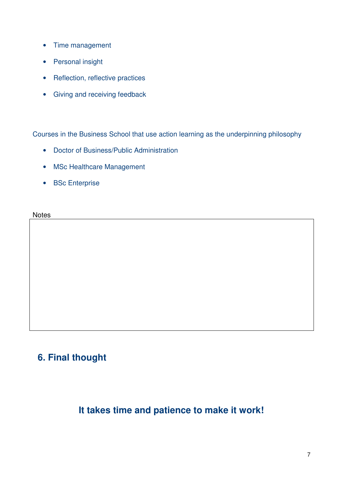- Time management
- Personal insight
- Reflection, reflective practices
- Giving and receiving feedback

Courses in the Business School that use action learning as the underpinning philosophy

- Doctor of Business/Public Administration
- MSc Healthcare Management
- BSc Enterprise

**Notes** 

# **6. Final thought**

# **It takes time and patience to make it work!**